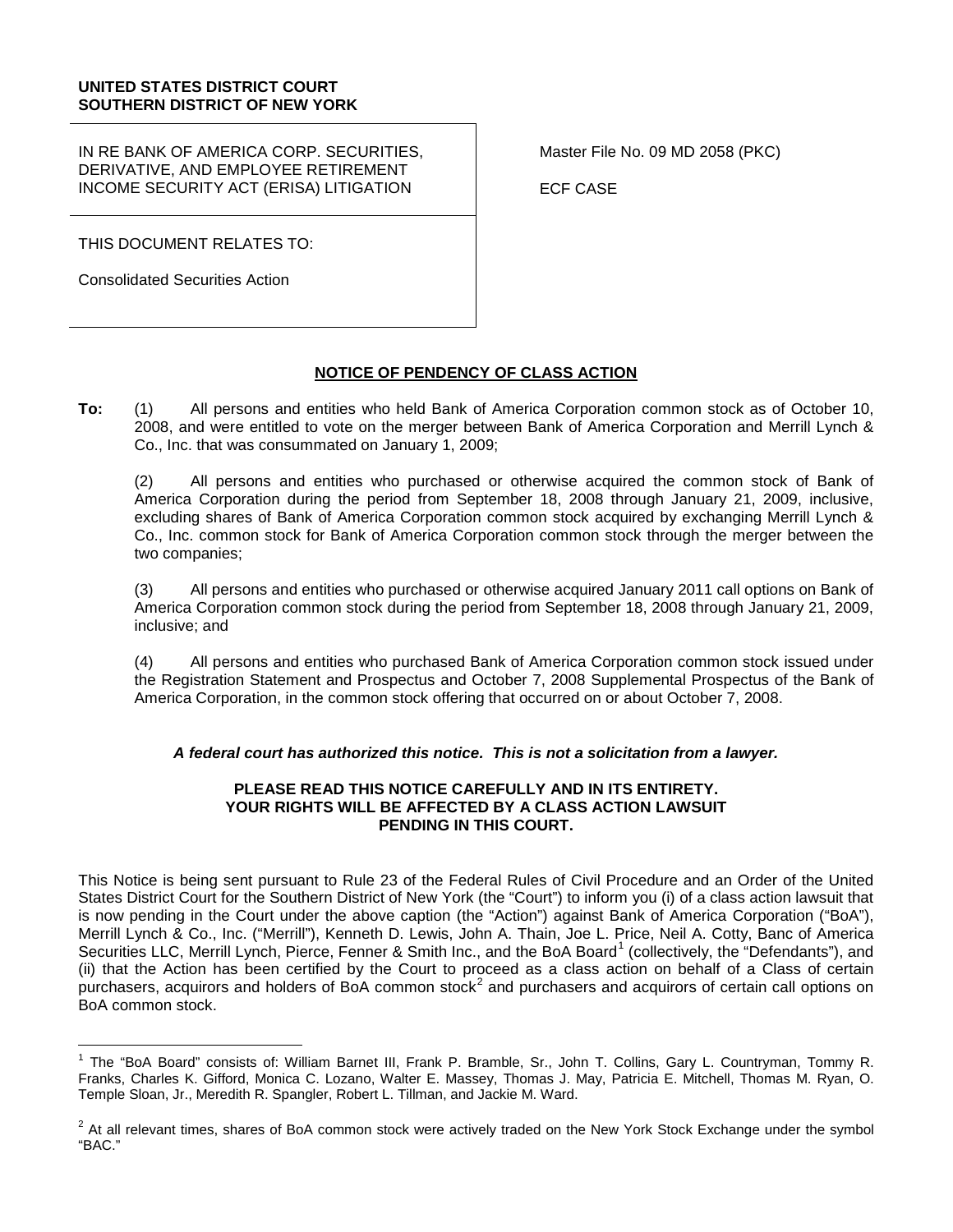### **UNITED STATES DISTRICT COURT SOUTHERN DISTRICT OF NEW YORK**

IN RE BANK OF AMERICA CORP. SECURITIES, DERIVATIVE, AND EMPLOYEE RETIREMENT INCOME SECURITY ACT (ERISA) LITIGATION

THIS DOCUMENT RELATES TO:

Consolidated Securities Action

Master File No. 09 MD 2058 (PKC)

ECF CASE

## **NOTICE OF PENDENCY OF CLASS ACTION**

**To:** (1) All persons and entities who held Bank of America Corporation common stock as of October 10, 2008, and were entitled to vote on the merger between Bank of America Corporation and Merrill Lynch & Co., Inc. that was consummated on January 1, 2009;

(2) All persons and entities who purchased or otherwise acquired the common stock of Bank of America Corporation during the period from September 18, 2008 through January 21, 2009, inclusive, excluding shares of Bank of America Corporation common stock acquired by exchanging Merrill Lynch & Co., Inc. common stock for Bank of America Corporation common stock through the merger between the two companies;

(3) All persons and entities who purchased or otherwise acquired January 2011 call options on Bank of America Corporation common stock during the period from September 18, 2008 through January 21, 2009, inclusive; and

(4) All persons and entities who purchased Bank of America Corporation common stock issued under the Registration Statement and Prospectus and October 7, 2008 Supplemental Prospectus of the Bank of America Corporation, in the common stock offering that occurred on or about October 7, 2008.

## *A federal court has authorized this notice. This is not a solicitation from a lawyer.*

### **PLEASE READ THIS NOTICE CAREFULLY AND IN ITS ENTIRETY. YOUR RIGHTS WILL BE AFFECTED BY A CLASS ACTION LAWSUIT PENDING IN THIS COURT.**

This Notice is being sent pursuant to Rule 23 of the Federal Rules of Civil Procedure and an Order of the United States District Court for the Southern District of New York (the "Court") to inform you (i) of a class action lawsuit that is now pending in the Court under the above caption (the "Action") against Bank of America Corporation ("BoA"), Merrill Lynch & Co., Inc. ("Merrill"), Kenneth D. Lewis, John A. Thain, Joe L. Price, Neil A. Cotty, Banc of America Securities LLC, Merrill Lynch, Pierce, Fenner & Smith Inc., and the BoA Board<sup>[1](#page-0-0)</sup> (collectively, the "Defendants"), and (ii) that the Action has been certified by the Court to proceed as a class action on behalf of a Class of certain purchasers, acquirors and holders of BoA common stock<sup>[2](#page-0-1)</sup> and purchasers and acquirors of certain call options on BoA common stock.

<span id="page-0-0"></span><sup>&</sup>lt;sup>1</sup> The "BoA Board" consists of: William Barnet III, Frank P. Bramble, Sr., John T. Collins, Gary L. Countryman, Tommy R. Franks, Charles K. Gifford, Monica C. Lozano, Walter E. Massey, Thomas J. May, Patricia E. Mitchell, Thomas M. Ryan, O. Temple Sloan, Jr., Meredith R. Spangler, Robert L. Tillman, and Jackie M. Ward.

<span id="page-0-1"></span> $2$  At all relevant times, shares of BoA common stock were actively traded on the New York Stock Exchange under the symbol "BAC."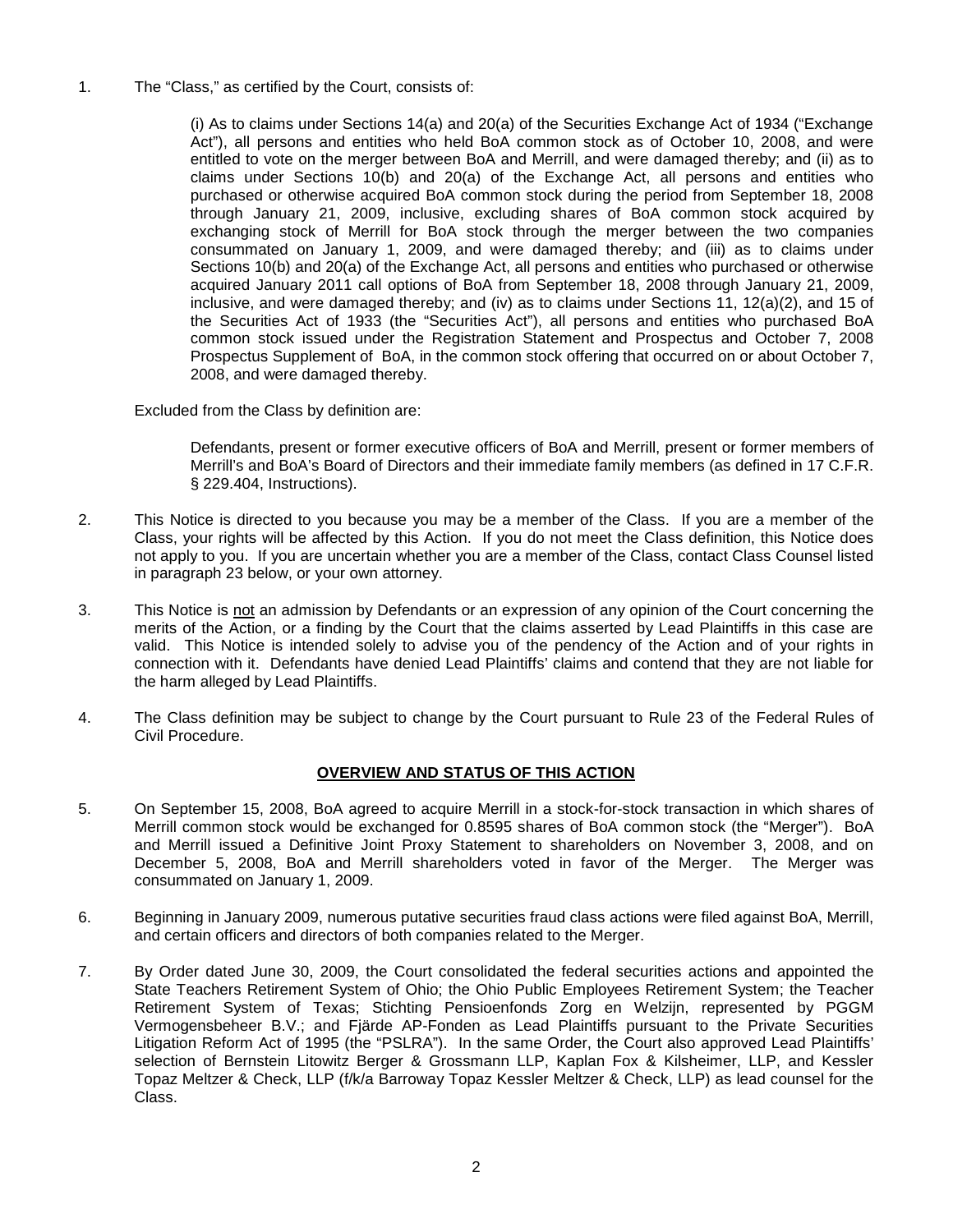1. The "Class," as certified by the Court, consists of:

(i) As to claims under Sections 14(a) and 20(a) of the Securities Exchange Act of 1934 ("Exchange Act"), all persons and entities who held BoA common stock as of October 10, 2008, and were entitled to vote on the merger between BoA and Merrill, and were damaged thereby; and (ii) as to claims under Sections 10(b) and 20(a) of the Exchange Act, all persons and entities who purchased or otherwise acquired BoA common stock during the period from September 18, 2008 through January 21, 2009, inclusive, excluding shares of BoA common stock acquired by exchanging stock of Merrill for BoA stock through the merger between the two companies consummated on January 1, 2009, and were damaged thereby; and (iii) as to claims under Sections 10(b) and 20(a) of the Exchange Act, all persons and entities who purchased or otherwise acquired January 2011 call options of BoA from September 18, 2008 through January 21, 2009, inclusive, and were damaged thereby; and (iv) as to claims under Sections 11, 12(a)(2), and 15 of the Securities Act of 1933 (the "Securities Act"), all persons and entities who purchased BoA common stock issued under the Registration Statement and Prospectus and October 7, 2008 Prospectus Supplement of BoA, in the common stock offering that occurred on or about October 7, 2008, and were damaged thereby.

Excluded from the Class by definition are:

Defendants, present or former executive officers of BoA and Merrill, present or former members of Merrill's and BoA's Board of Directors and their immediate family members (as defined in 17 C.F.R. § 229.404, Instructions).

- 2. This Notice is directed to you because you may be a member of the Class. If you are a member of the Class, your rights will be affected by this Action. If you do not meet the Class definition, this Notice does not apply to you. If you are uncertain whether you are a member of the Class, contact Class Counsel listed in paragraph 23 below, or your own attorney.
- 3. This Notice is not an admission by Defendants or an expression of any opinion of the Court concerning the merits of the Action, or a finding by the Court that the claims asserted by Lead Plaintiffs in this case are valid. This Notice is intended solely to advise you of the pendency of the Action and of your rights in connection with it. Defendants have denied Lead Plaintiffs' claims and contend that they are not liable for the harm alleged by Lead Plaintiffs.
- 4. The Class definition may be subject to change by the Court pursuant to Rule 23 of the Federal Rules of Civil Procedure.

## **OVERVIEW AND STATUS OF THIS ACTION**

- 5. On September 15, 2008, BoA agreed to acquire Merrill in a stock-for-stock transaction in which shares of Merrill common stock would be exchanged for 0.8595 shares of BoA common stock (the "Merger"). BoA and Merrill issued a Definitive Joint Proxy Statement to shareholders on November 3, 2008, and on December 5, 2008, BoA and Merrill shareholders voted in favor of the Merger. The Merger was consummated on January 1, 2009.
- 6. Beginning in January 2009, numerous putative securities fraud class actions were filed against BoA, Merrill, and certain officers and directors of both companies related to the Merger.
- 7. By Order dated June 30, 2009, the Court consolidated the federal securities actions and appointed the State Teachers Retirement System of Ohio; the Ohio Public Employees Retirement System; the Teacher Retirement System of Texas; Stichting Pensioenfonds Zorg en Welzijn, represented by PGGM Vermogensbeheer B.V.; and Fjärde AP-Fonden as Lead Plaintiffs pursuant to the Private Securities Litigation Reform Act of 1995 (the "PSLRA"). In the same Order, the Court also approved Lead Plaintiffs' selection of Bernstein Litowitz Berger & Grossmann LLP, Kaplan Fox & Kilsheimer, LLP, and Kessler Topaz Meltzer & Check, LLP (f/k/a Barroway Topaz Kessler Meltzer & Check, LLP) as lead counsel for the Class.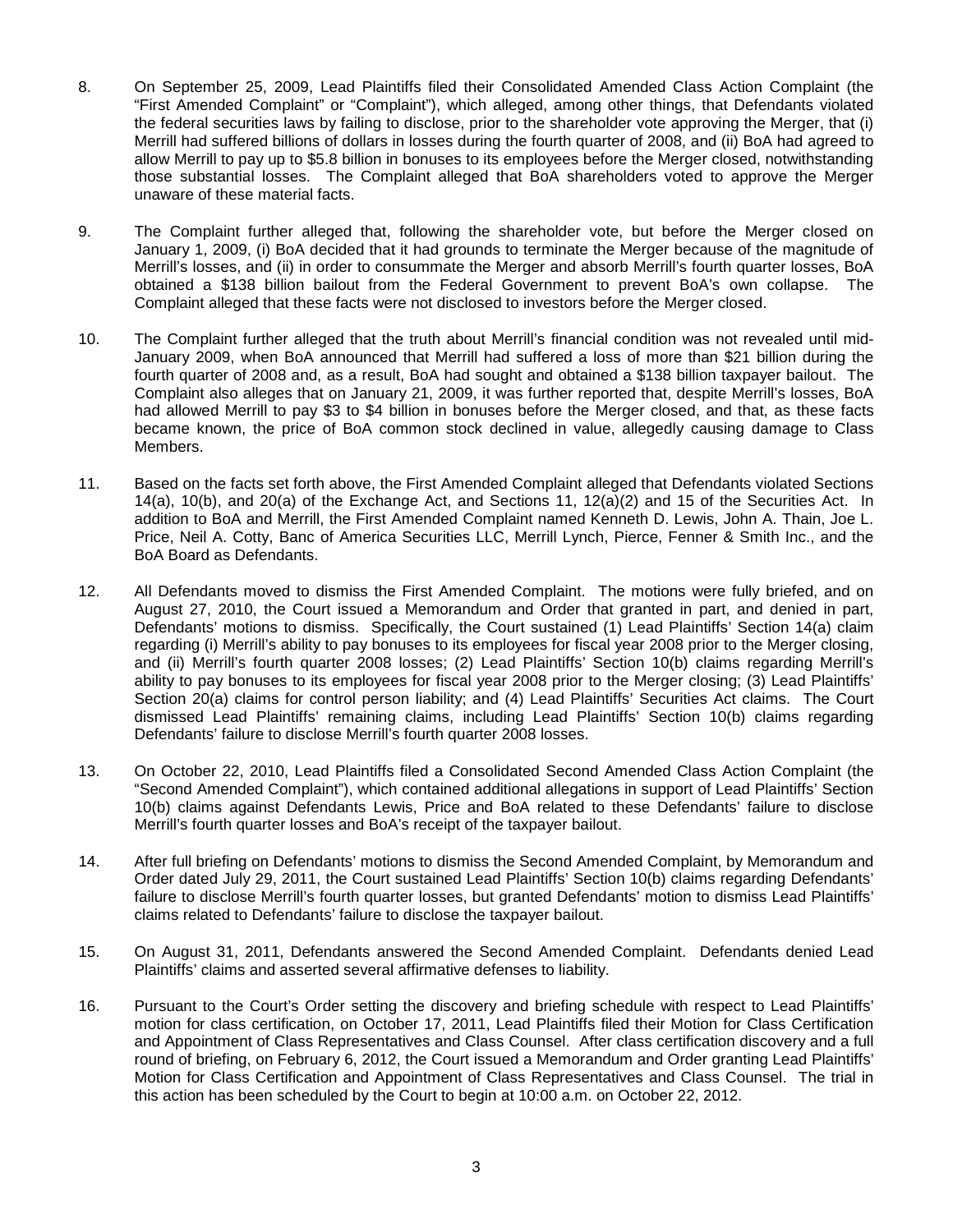- 8. On September 25, 2009, Lead Plaintiffs filed their Consolidated Amended Class Action Complaint (the "First Amended Complaint" or "Complaint"), which alleged, among other things, that Defendants violated the federal securities laws by failing to disclose, prior to the shareholder vote approving the Merger, that (i) Merrill had suffered billions of dollars in losses during the fourth quarter of 2008, and (ii) BoA had agreed to allow Merrill to pay up to \$5.8 billion in bonuses to its employees before the Merger closed, notwithstanding those substantial losses. The Complaint alleged that BoA shareholders voted to approve the Merger unaware of these material facts.
- 9. The Complaint further alleged that, following the shareholder vote, but before the Merger closed on January 1, 2009, (i) BoA decided that it had grounds to terminate the Merger because of the magnitude of Merrill's losses, and (ii) in order to consummate the Merger and absorb Merrill's fourth quarter losses, BoA obtained a \$138 billion bailout from the Federal Government to prevent BoA's own collapse. The Complaint alleged that these facts were not disclosed to investors before the Merger closed.
- 10. The Complaint further alleged that the truth about Merrill's financial condition was not revealed until mid-January 2009, when BoA announced that Merrill had suffered a loss of more than \$21 billion during the fourth quarter of 2008 and, as a result, BoA had sought and obtained a \$138 billion taxpayer bailout. The Complaint also alleges that on January 21, 2009, it was further reported that, despite Merrill's losses, BoA had allowed Merrill to pay \$3 to \$4 billion in bonuses before the Merger closed, and that, as these facts became known, the price of BoA common stock declined in value, allegedly causing damage to Class Members.
- 11. Based on the facts set forth above, the First Amended Complaint alleged that Defendants violated Sections 14(a), 10(b), and 20(a) of the Exchange Act, and Sections 11, 12(a)(2) and 15 of the Securities Act. In addition to BoA and Merrill, the First Amended Complaint named Kenneth D. Lewis, John A. Thain, Joe L. Price, Neil A. Cotty, Banc of America Securities LLC, Merrill Lynch, Pierce, Fenner & Smith Inc., and the BoA Board as Defendants.
- 12. All Defendants moved to dismiss the First Amended Complaint. The motions were fully briefed, and on August 27, 2010, the Court issued a Memorandum and Order that granted in part, and denied in part, Defendants' motions to dismiss. Specifically, the Court sustained (1) Lead Plaintiffs' Section 14(a) claim regarding (i) Merrill's ability to pay bonuses to its employees for fiscal year 2008 prior to the Merger closing, and (ii) Merrill's fourth quarter 2008 losses; (2) Lead Plaintiffs' Section 10(b) claims regarding Merrill's ability to pay bonuses to its employees for fiscal year 2008 prior to the Merger closing; (3) Lead Plaintiffs' Section 20(a) claims for control person liability; and (4) Lead Plaintiffs' Securities Act claims. The Court dismissed Lead Plaintiffs' remaining claims, including Lead Plaintiffs' Section 10(b) claims regarding Defendants' failure to disclose Merrill's fourth quarter 2008 losses.
- 13. On October 22, 2010, Lead Plaintiffs filed a Consolidated Second Amended Class Action Complaint (the "Second Amended Complaint"), which contained additional allegations in support of Lead Plaintiffs' Section 10(b) claims against Defendants Lewis, Price and BoA related to these Defendants' failure to disclose Merrill's fourth quarter losses and BoA's receipt of the taxpayer bailout.
- 14. After full briefing on Defendants' motions to dismiss the Second Amended Complaint, by Memorandum and Order dated July 29, 2011, the Court sustained Lead Plaintiffs' Section 10(b) claims regarding Defendants' failure to disclose Merrill's fourth quarter losses, but granted Defendants' motion to dismiss Lead Plaintiffs' claims related to Defendants' failure to disclose the taxpayer bailout.
- 15. On August 31, 2011, Defendants answered the Second Amended Complaint. Defendants denied Lead Plaintiffs' claims and asserted several affirmative defenses to liability.
- 16. Pursuant to the Court's Order setting the discovery and briefing schedule with respect to Lead Plaintiffs' motion for class certification, on October 17, 2011, Lead Plaintiffs filed their Motion for Class Certification and Appointment of Class Representatives and Class Counsel. After class certification discovery and a full round of briefing, on February 6, 2012, the Court issued a Memorandum and Order granting Lead Plaintiffs' Motion for Class Certification and Appointment of Class Representatives and Class Counsel. The trial in this action has been scheduled by the Court to begin at 10:00 a.m. on October 22, 2012.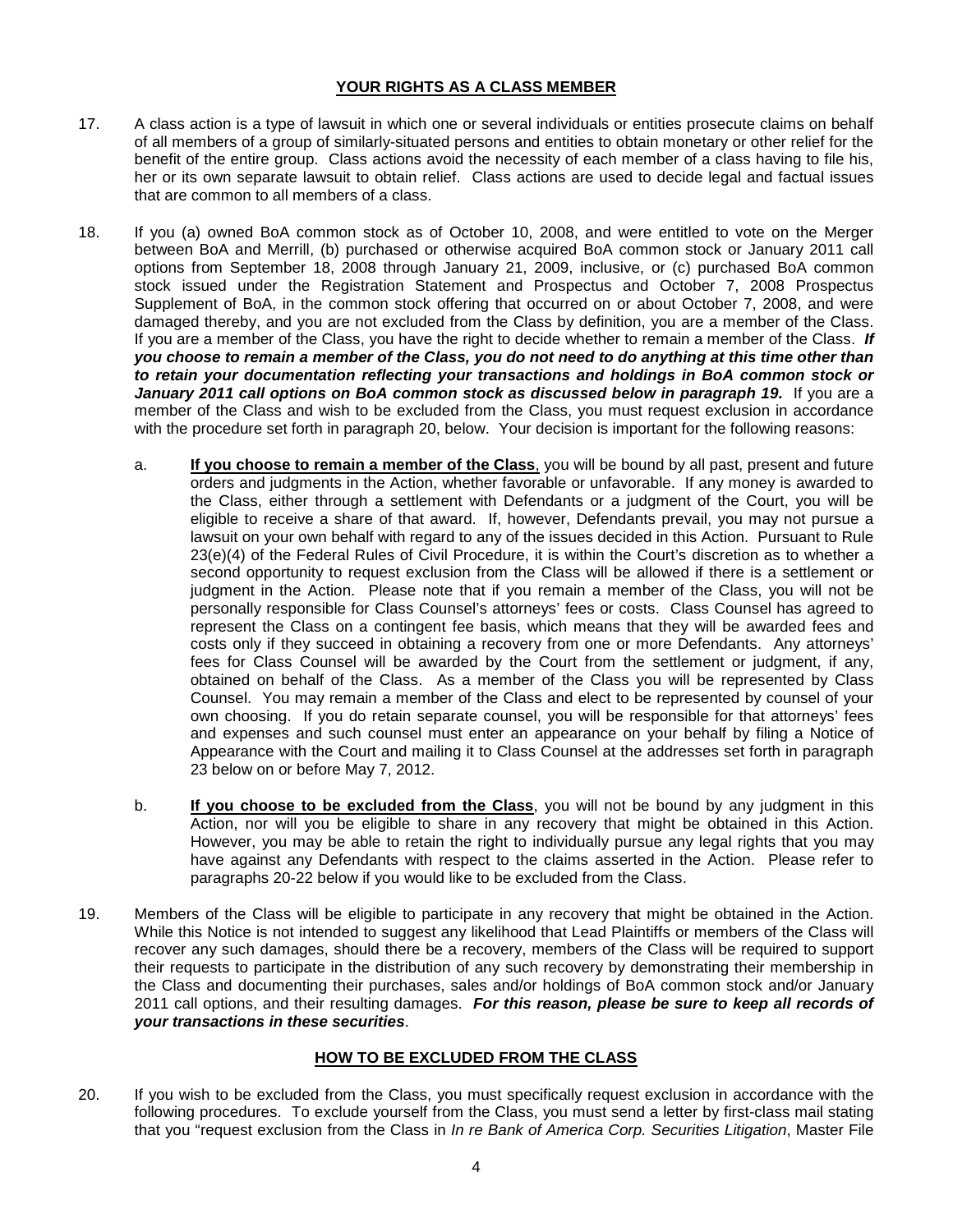## **YOUR RIGHTS AS A CLASS MEMBER**

- 17. A class action is a type of lawsuit in which one or several individuals or entities prosecute claims on behalf of all members of a group of similarly-situated persons and entities to obtain monetary or other relief for the benefit of the entire group. Class actions avoid the necessity of each member of a class having to file his, her or its own separate lawsuit to obtain relief. Class actions are used to decide legal and factual issues that are common to all members of a class.
- 18. If you (a) owned BoA common stock as of October 10, 2008, and were entitled to vote on the Merger between BoA and Merrill, (b) purchased or otherwise acquired BoA common stock or January 2011 call options from September 18, 2008 through January 21, 2009, inclusive, or (c) purchased BoA common stock issued under the Registration Statement and Prospectus and October 7, 2008 Prospectus Supplement of BoA, in the common stock offering that occurred on or about October 7, 2008, and were damaged thereby, and you are not excluded from the Class by definition, you are a member of the Class. If you are a member of the Class, you have the right to decide whether to remain a member of the Class. *If you choose to remain a member of the Class, you do not need to do anything at this time other than to retain your documentation reflecting your transactions and holdings in BoA common stock or*  January 2011 call options on BoA common stock as discussed below in paragraph 19. If you are a member of the Class and wish to be excluded from the Class, you must request exclusion in accordance with the procedure set forth in paragraph 20, below. Your decision is important for the following reasons:
	- a. **If you choose to remain a member of the Class**, you will be bound by all past, present and future orders and judgments in the Action, whether favorable or unfavorable. If any money is awarded to the Class, either through a settlement with Defendants or a judgment of the Court, you will be eligible to receive a share of that award. If, however, Defendants prevail, you may not pursue a lawsuit on your own behalf with regard to any of the issues decided in this Action. Pursuant to Rule 23(e)(4) of the Federal Rules of Civil Procedure, it is within the Court's discretion as to whether a second opportunity to request exclusion from the Class will be allowed if there is a settlement or judgment in the Action. Please note that if you remain a member of the Class, you will not be personally responsible for Class Counsel's attorneys' fees or costs. Class Counsel has agreed to represent the Class on a contingent fee basis, which means that they will be awarded fees and costs only if they succeed in obtaining a recovery from one or more Defendants. Any attorneys' fees for Class Counsel will be awarded by the Court from the settlement or judgment, if any, obtained on behalf of the Class. As a member of the Class you will be represented by Class Counsel. You may remain a member of the Class and elect to be represented by counsel of your own choosing. If you do retain separate counsel, you will be responsible for that attorneys' fees and expenses and such counsel must enter an appearance on your behalf by filing a Notice of Appearance with the Court and mailing it to Class Counsel at the addresses set forth in paragraph 23 below on or before May 7, 2012.
	- b. **If you choose to be excluded from the Class**, you will not be bound by any judgment in this Action, nor will you be eligible to share in any recovery that might be obtained in this Action. However, you may be able to retain the right to individually pursue any legal rights that you may have against any Defendants with respect to the claims asserted in the Action. Please refer to paragraphs 20-22 below if you would like to be excluded from the Class.
- 19. Members of the Class will be eligible to participate in any recovery that might be obtained in the Action. While this Notice is not intended to suggest any likelihood that Lead Plaintiffs or members of the Class will recover any such damages, should there be a recovery, members of the Class will be required to support their requests to participate in the distribution of any such recovery by demonstrating their membership in the Class and documenting their purchases, sales and/or holdings of BoA common stock and/or January 2011 call options, and their resulting damages. *For this reason, please be sure to keep all records of your transactions in these securities*.

# **HOW TO BE EXCLUDED FROM THE CLASS**

20. If you wish to be excluded from the Class, you must specifically request exclusion in accordance with the following procedures. To exclude yourself from the Class, you must send a letter by first-class mail stating that you "request exclusion from the Class in *In re Bank of America Corp. Securities Litigation*, Master File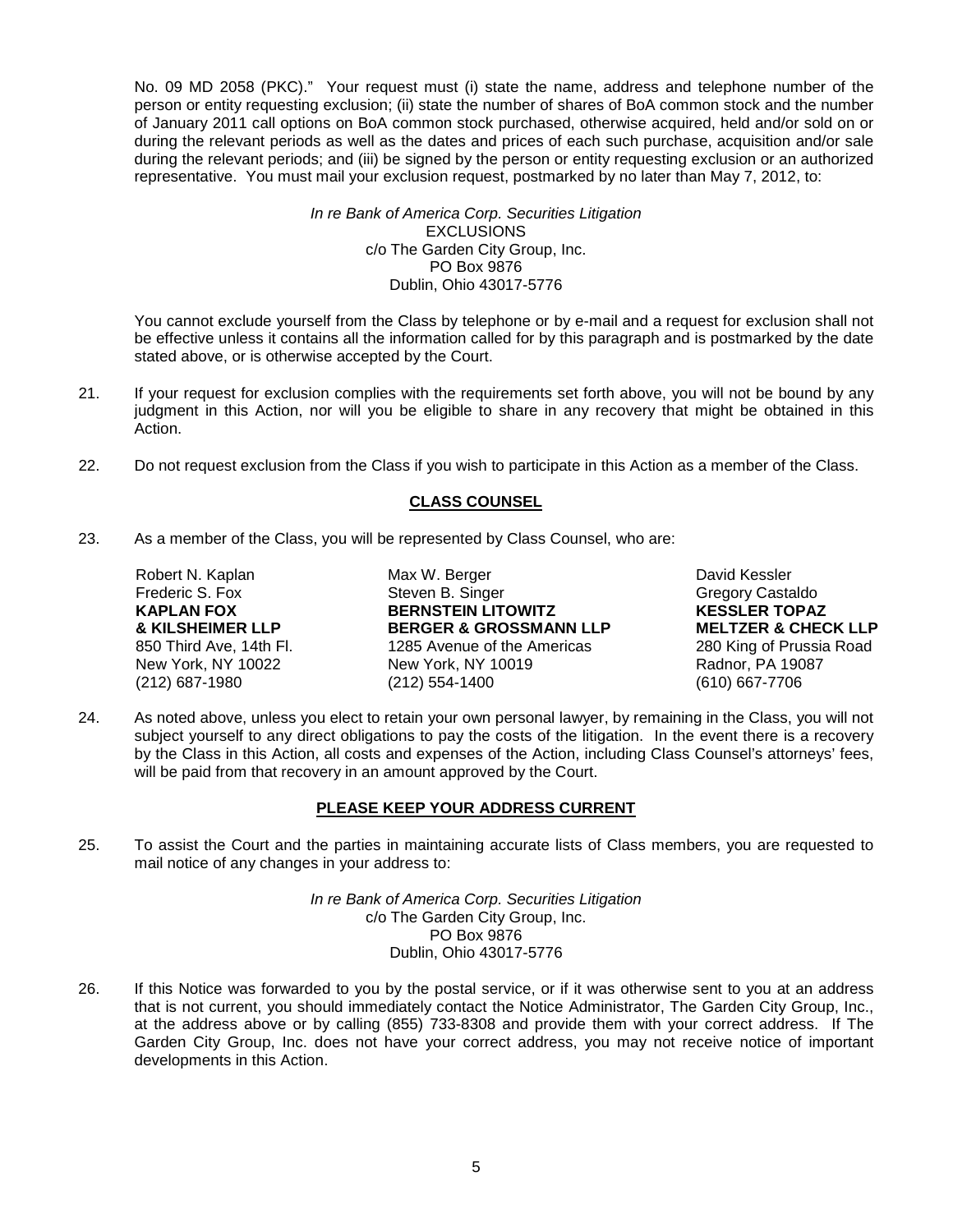No. 09 MD 2058 (PKC)." Your request must (i) state the name, address and telephone number of the person or entity requesting exclusion; (ii) state the number of shares of BoA common stock and the number of January 2011 call options on BoA common stock purchased, otherwise acquired, held and/or sold on or during the relevant periods as well as the dates and prices of each such purchase, acquisition and/or sale during the relevant periods; and (iii) be signed by the person or entity requesting exclusion or an authorized representative. You must mail your exclusion request, postmarked by no later than May 7, 2012, to:

#### *In re Bank of America Corp. Securities Litigation* **EXCLUSIONS** c/o The Garden City Group, Inc. PO Box 9876 Dublin, Ohio 43017-5776

You cannot exclude yourself from the Class by telephone or by e-mail and a request for exclusion shall not be effective unless it contains all the information called for by this paragraph and is postmarked by the date stated above, or is otherwise accepted by the Court.

- 21. If your request for exclusion complies with the requirements set forth above, you will not be bound by any judgment in this Action, nor will you be eligible to share in any recovery that might be obtained in this Action.
- 22. Do not request exclusion from the Class if you wish to participate in this Action as a member of the Class.

## **CLASS COUNSEL**

23. As a member of the Class, you will be represented by Class Counsel, who are:

Robert N. Kaplan Max W. Berger Max W. Berger Max David Kessler<br>Trederic S. Fox Steven B. Singer Castalland Cregory Casta Frederic S. Fox **Steven B. Singer** Steven B. Steven B. Singer Gregory Castaldo<br>
STER TOPAZ<br>
STER TOPAZ **KAPLAN FOX BERNSTEIN LITOWITZ KESSLER TOPAZ** 850 Third Ave, 14th Fl. 1285 Avenue of the Americas 280 King of Prussia Road New York, NY 10019 1898 280 King of Prussia Road New York, NY 10019 (212) 687-1980 (212) 554-1400 (610) 667-7706

**& KILSHEIMER LLP BERGER & GROSSMANN LLP MELTZER & CHECK LLP**

24. As noted above, unless you elect to retain your own personal lawyer, by remaining in the Class, you will not subject yourself to any direct obligations to pay the costs of the litigation. In the event there is a recovery by the Class in this Action, all costs and expenses of the Action, including Class Counsel's attorneys' fees, will be paid from that recovery in an amount approved by the Court.

# **PLEASE KEEP YOUR ADDRESS CURRENT**

25. To assist the Court and the parties in maintaining accurate lists of Class members, you are requested to mail notice of any changes in your address to:

> *In re Bank of America Corp. Securities Litigation* c/o The Garden City Group, Inc. PO Box 9876 Dublin, Ohio 43017-5776

26. If this Notice was forwarded to you by the postal service, or if it was otherwise sent to you at an address that is not current, you should immediately contact the Notice Administrator, The Garden City Group, Inc., at the address above or by calling (855) 733-8308 and provide them with your correct address. If The Garden City Group, Inc. does not have your correct address, you may not receive notice of important developments in this Action.